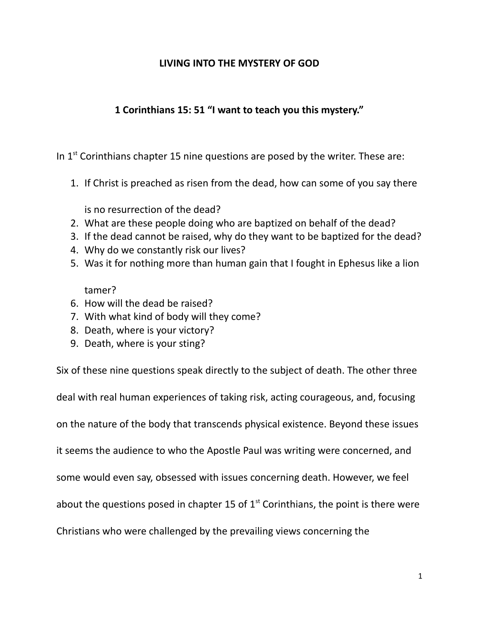## **LIVING INTO THE MYSTERY OF GOD**

## **1 Corinthians 15: 51 "I want to teach you this mystery."**

In  $1<sup>st</sup>$  Corinthians chapter 15 nine questions are posed by the writer. These are:

1. If Christ is preached as risen from the dead, how can some of you say there

is no resurrection of the dead?

- 2. What are these people doing who are baptized on behalf of the dead?
- 3. If the dead cannot be raised, why do they want to be baptized for the dead?
- 4. Why do we constantly risk our lives?
- 5. Was it for nothing more than human gain that I fought in Ephesus like a lion

tamer?

- 6. How will the dead be raised?
- 7. With what kind of body will they come?
- 8. Death, where is your victory?
- 9. Death, where is your sting?

Six of these nine questions speak directly to the subject of death. The other three deal with real human experiences of taking risk, acting courageous, and, focusing on the nature of the body that transcends physical existence. Beyond these issues it seems the audience to who the Apostle Paul was writing were concerned, and some would even say, obsessed with issues concerning death. However, we feel about the questions posed in chapter 15 of  $1<sup>st</sup>$  Corinthians, the point is there were Christians who were challenged by the prevailing views concerning the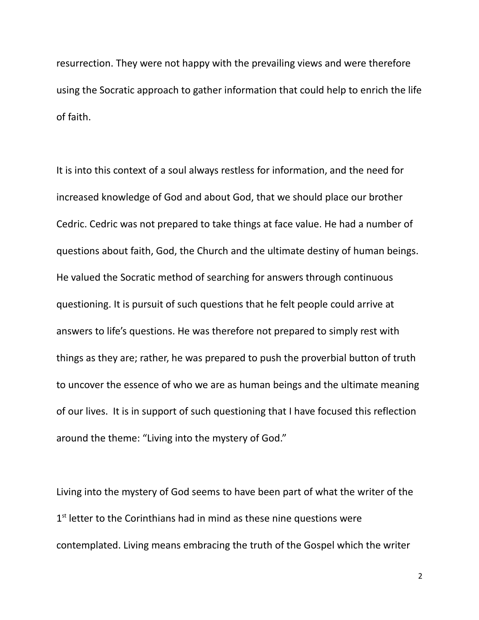resurrection. They were not happy with the prevailing views and were therefore using the Socratic approach to gather information that could help to enrich the life of faith.

It is into this context of a soul always restless for information, and the need for increased knowledge of God and about God, that we should place our brother Cedric. Cedric was not prepared to take things at face value. He had a number of questions about faith, God, the Church and the ultimate destiny of human beings. He valued the Socratic method of searching for answers through continuous questioning. It is pursuit of such questions that he felt people could arrive at answers to life's questions. He was therefore not prepared to simply rest with things as they are; rather, he was prepared to push the proverbial button of truth to uncover the essence of who we are as human beings and the ultimate meaning of our lives. It is in support of such questioning that I have focused this reflection around the theme: "Living into the mystery of God."

Living into the mystery of God seems to have been part of what the writer of the 1<sup>st</sup> letter to the Corinthians had in mind as these nine questions were contemplated. Living means embracing the truth of the Gospel which the writer

2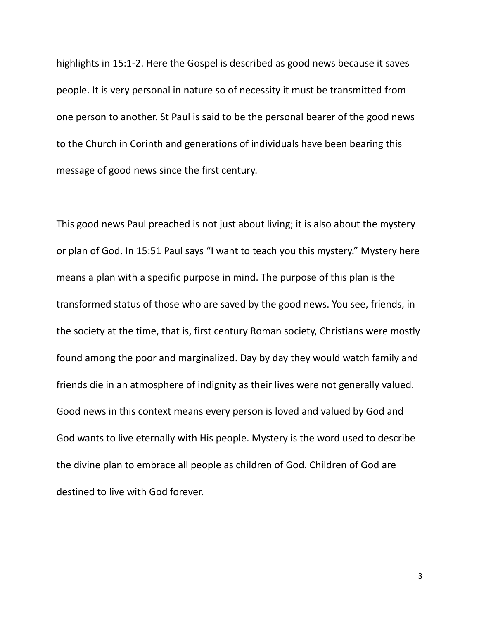highlights in 15:1-2. Here the Gospel is described as good news because it saves people. It is very personal in nature so of necessity it must be transmitted from one person to another. St Paul is said to be the personal bearer of the good news to the Church in Corinth and generations of individuals have been bearing this message of good news since the first century.

This good news Paul preached is not just about living; it is also about the mystery or plan of God. In 15:51 Paul says "I want to teach you this mystery." Mystery here means a plan with a specific purpose in mind. The purpose of this plan is the transformed status of those who are saved by the good news. You see, friends, in the society at the time, that is, first century Roman society, Christians were mostly found among the poor and marginalized. Day by day they would watch family and friends die in an atmosphere of indignity as their lives were not generally valued. Good news in this context means every person is loved and valued by God and God wants to live eternally with His people. Mystery is the word used to describe the divine plan to embrace all people as children of God. Children of God are destined to live with God forever.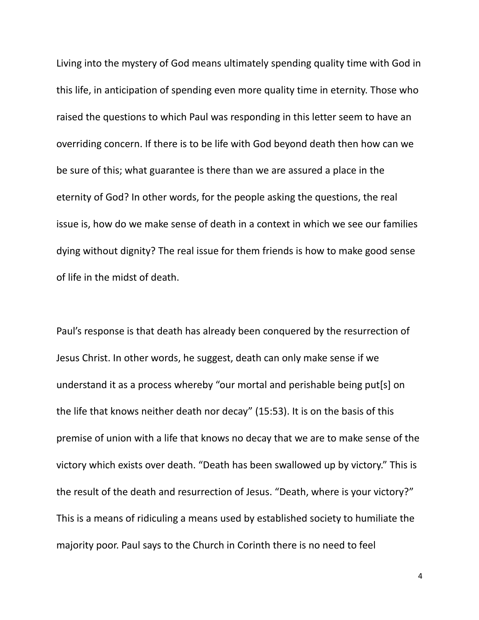Living into the mystery of God means ultimately spending quality time with God in this life, in anticipation of spending even more quality time in eternity. Those who raised the questions to which Paul was responding in this letter seem to have an overriding concern. If there is to be life with God beyond death then how can we be sure of this; what guarantee is there than we are assured a place in the eternity of God? In other words, for the people asking the questions, the real issue is, how do we make sense of death in a context in which we see our families dying without dignity? The real issue for them friends is how to make good sense of life in the midst of death.

Paul's response is that death has already been conquered by the resurrection of Jesus Christ. In other words, he suggest, death can only make sense if we understand it as a process whereby "our mortal and perishable being put[s] on the life that knows neither death nor decay" (15:53). It is on the basis of this premise of union with a life that knows no decay that we are to make sense of the victory which exists over death. "Death has been swallowed up by victory." This is the result of the death and resurrection of Jesus. "Death, where is your victory?" This is a means of ridiculing a means used by established society to humiliate the majority poor. Paul says to the Church in Corinth there is no need to feel

4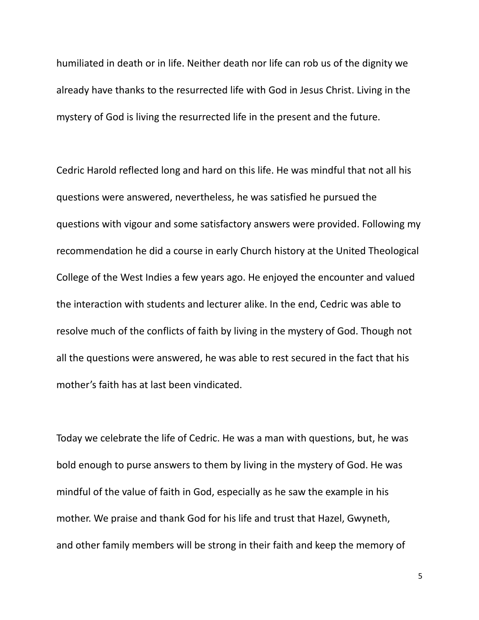humiliated in death or in life. Neither death nor life can rob us of the dignity we already have thanks to the resurrected life with God in Jesus Christ. Living in the mystery of God is living the resurrected life in the present and the future.

Cedric Harold reflected long and hard on this life. He was mindful that not all his questions were answered, nevertheless, he was satisfied he pursued the questions with vigour and some satisfactory answers were provided. Following my recommendation he did a course in early Church history at the United Theological College of the West Indies a few years ago. He enjoyed the encounter and valued the interaction with students and lecturer alike. In the end, Cedric was able to resolve much of the conflicts of faith by living in the mystery of God. Though not all the questions were answered, he was able to rest secured in the fact that his mother's faith has at last been vindicated.

Today we celebrate the life of Cedric. He was a man with questions, but, he was bold enough to purse answers to them by living in the mystery of God. He was mindful of the value of faith in God, especially as he saw the example in his mother. We praise and thank God for his life and trust that Hazel, Gwyneth, and other family members will be strong in their faith and keep the memory of

5